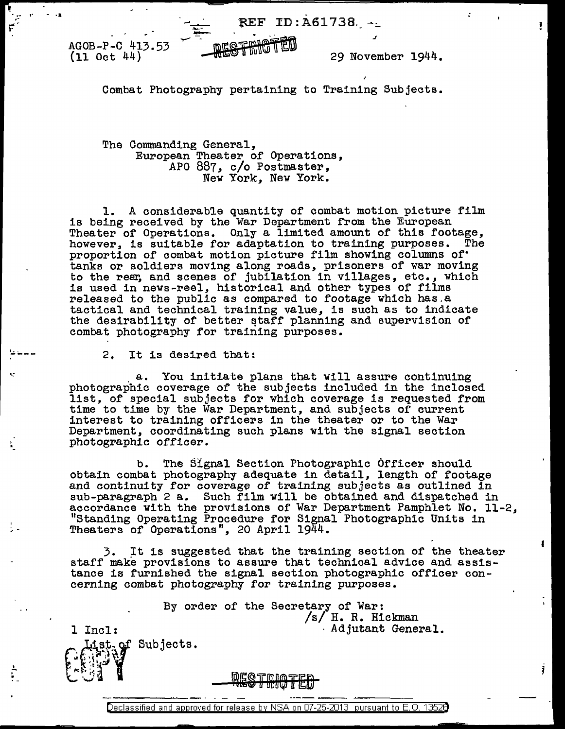AGOB-P-C 413.53 (11 Oct 44)

r . - ..... ~-

- .;a

I~---

.?..  $\sum_{i=1}^{N}$  29 November 1944.

ŧ

Ĵ

J

Combat Photography pertaining to Training Subjects.

TRIGTED

DEQTRET

The Commanding General, European Theater of Operations, APO 887, c/o Postmaster, New York, New York.

...... \_

 $\mathcal{L}$  .

1. A considerable quantity of combat motion picture film is being received by the War Department from the European Theater of Operations. Only a limited amount of this footage, however, is suitable for adaptation to training purposes. The proportion of combat motion picture film showing columns of· tanks or soldiers moving along roads, prisoners of war moving to the rear, and scenes of jubilation in villages, etc., which is used in news-reel, historical and other types of films released to the public as compared to footage which has.a tactical and technical training value, is such as to indicate the desirability of better staff planning and supervision of combat photography for training purposes.

2. It is desired that:

. a. You initiate plans that will assure continuing photographic coverage of the subjects included in the inclosed list, of special subjects for which coverage is requested from time to time by the War Department, and subjects of current interest to training officers in the theater or to the War Department, coordinating such plans with the signal section photographic officer.

b. The Signal Section Photographic Officer should<br>obtain combat photography adequate in detail, length of footage obtain combat photography adequate in detail, length of footage and continuity for coverage of training subjects as outlined in sub-paragraph 2 a. Such film will be obtained and dispatched in accordance with the provisions of War Department Pamphlet No. 11-2, "Standing Operating Procedure for Signal Photographic Units in Theaters of Operations", 20 April 1944.

3. It is suggested that the training section of the theater staff make provisions to assure that technical advice and assistance is furnished the signal section photographic officer concerning combat photography for training purposes.

By order of the Secretary of War:  $/s/ H. R.$  Hickman l Incl:  $\qquad \qquad$  Adjutant General. ist of Subjects.

> **DEQTEIOT** u ucaw